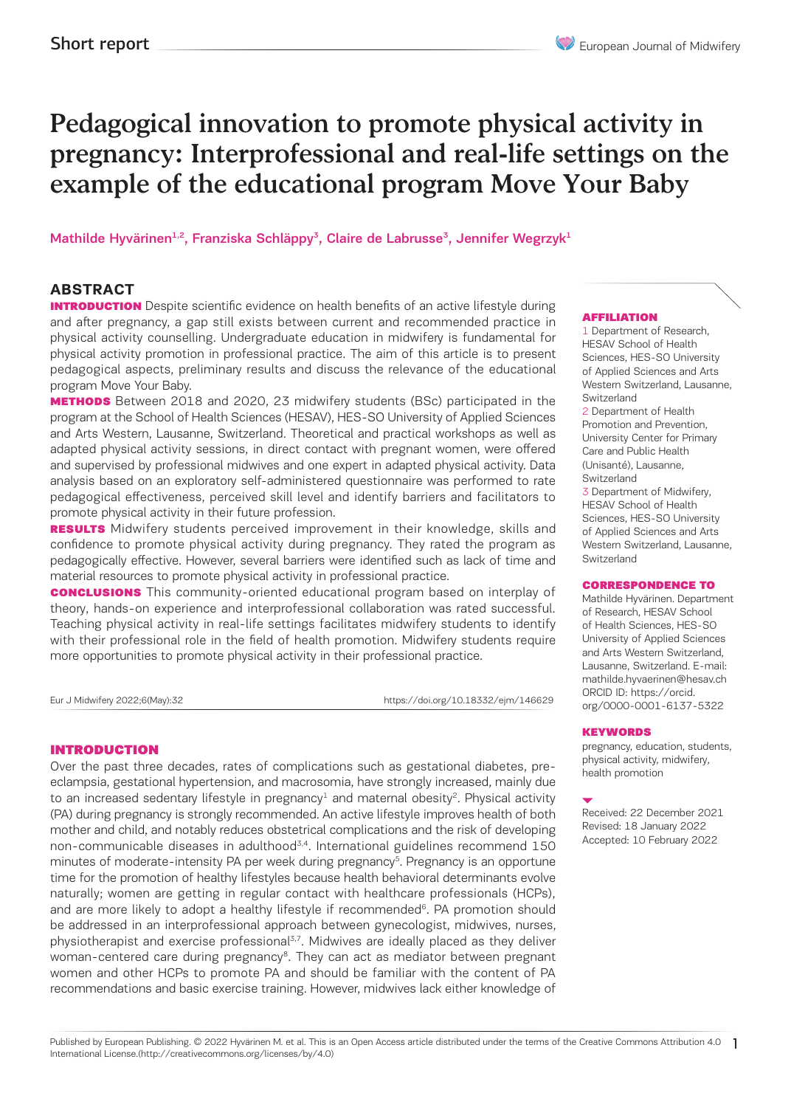# Pedagogical innovation to promote physical activity in pregnancy: Interprofessional and real-life settings on the example of the educational program Move Your Baby

Mathilde Hyvärinen<sup>1,2</sup>, Franziska Schläppy<sup>3</sup>, Claire de Labrusse<sup>3</sup>, Jennifer Wegrzyk<sup>1</sup>

# **ABSTRACT**

**INTRODUCTION** Despite scientific evidence on health benefits of an active lifestyle during and after pregnancy, a gap still exists between current and recommended practice in physical activity counselling. Undergraduate education in midwifery is fundamental for physical activity promotion in professional practice. The aim of this article is to present pedagogical aspects, preliminary results and discuss the relevance of the educational program Move Your Baby.

**METHODS** Between 2018 and 2020, 23 midwifery students (BSc) participated in the program at the School of Health Sciences (HESAV), HES-SO University of Applied Sciences and Arts Western, Lausanne, Switzerland. Theoretical and practical workshops as well as adapted physical activity sessions, in direct contact with pregnant women, were offered and supervised by professional midwives and one expert in adapted physical activity. Data analysis based on an exploratory self-administered questionnaire was performed to rate pedagogical effectiveness, perceived skill level and identify barriers and facilitators to promote physical activity in their future profession.

RESULTS Midwifery students perceived improvement in their knowledge, skills and confidence to promote physical activity during pregnancy. They rated the program as pedagogically effective. However, several barriers were identified such as lack of time and material resources to promote physical activity in professional practice.

**CONCLUSIONS** This community-oriented educational program based on interplay of theory, hands-on experience and interprofessional collaboration was rated successful. Teaching physical activity in real-life settings facilitates midwifery students to identify with their professional role in the field of health promotion. Midwifery students require more opportunities to promote physical activity in their professional practice.

Eur J Midwifery 2022;6(May):32 https://doi.org/10.18332/ejm/146629

#### INTRODUCTION

Over the past three decades, rates of complications such as gestational diabetes, preeclampsia, gestational hypertension, and macrosomia, have strongly increased, mainly due to an increased sedentary lifestyle in pregnancy<sup>1</sup> and maternal obesity<sup>2</sup>. Physical activity (PA) during pregnancy is strongly recommended. An active lifestyle improves health of both mother and child, and notably reduces obstetrical complications and the risk of developing non-communicable diseases in adulthood<sup>3,4</sup>. International guidelines recommend 150 minutes of moderate-intensity PA per week during pregnancy<sup>5</sup>. Pregnancy is an opportune time for the promotion of healthy lifestyles because health behavioral determinants evolve naturally; women are getting in regular contact with healthcare professionals (HCPs), and are more likely to adopt a healthy lifestyle if recommended<sup>6</sup>. PA promotion should be addressed in an interprofessional approach between gynecologist, midwives, nurses, physiotherapist and exercise professional<sup>3,7</sup>. Midwives are ideally placed as they deliver woman-centered care during pregnancy<sup>8</sup>. They can act as mediator between pregnant women and other HCPs to promote PA and should be familiar with the content of PA recommendations and basic exercise training. However, midwives lack either knowledge of

#### AFFILIATION

1 Department of Research, HESAV School of Health Sciences, HES-SO University of Applied Sciences and Arts Western Switzerland, Lausanne, Switzerland 2 Department of Health Promotion and Prevention,

University Center for Primary Care and Public Health (Unisanté), Lausanne, Switzerland

3 Department of Midwifery, HESAV School of Health Sciences, HES-SO University of Applied Sciences and Arts Western Switzerland, Lausanne, **Switzerland** 

#### CORRESPONDENCE TO

Mathilde Hyvärinen. Department of Research, HESAV School of Health Sciences, HES-SO University of Applied Sciences and Arts Western Switzerland, Lausanne, Switzerland. E-mail: mathilde.hyvaerinen@hesav.ch ORCID ID: https://orcid. org/0000-0001-6137-5322

#### KEYWORDS

pregnancy, education, students, physical activity, midwifery, health promotion

Received: 22 December 2021 Revised: 18 January 2022 Accepted: 10 February 2022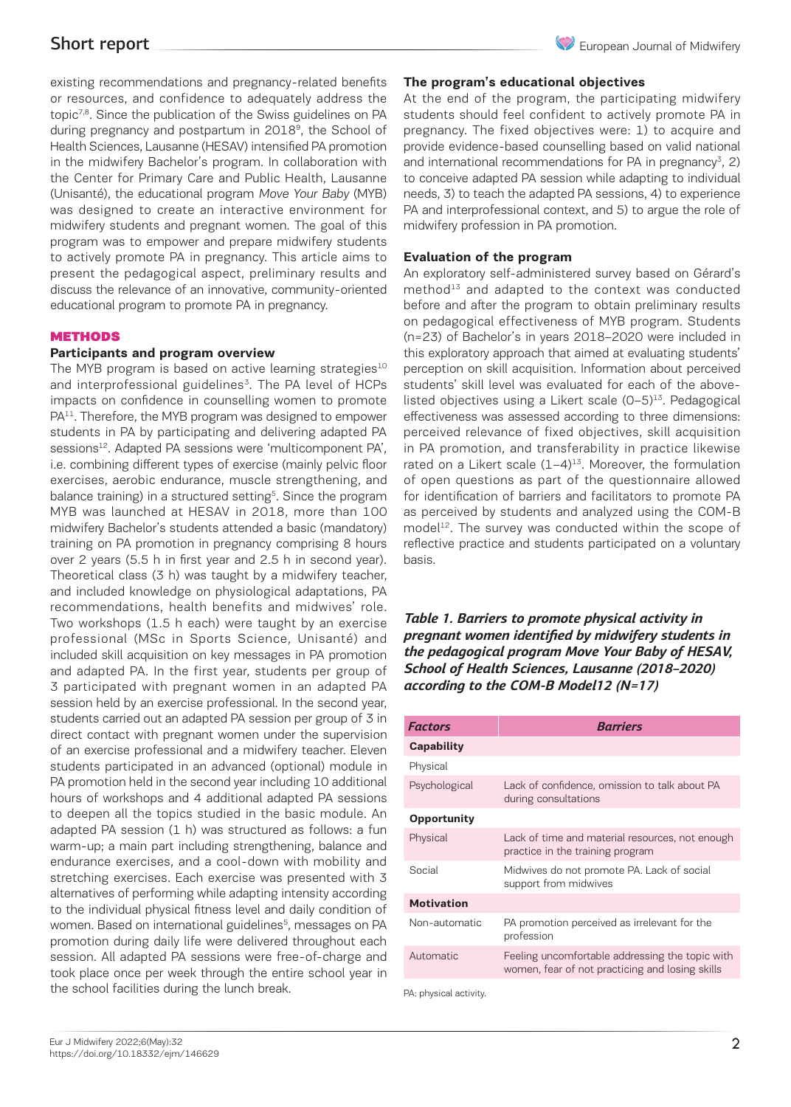existing recommendations and pregnancy-related benefits or resources, and confidence to adequately address the topic<sup>7,8</sup>. Since the publication of the Swiss guidelines on PA during pregnancy and postpartum in 2018<sup>9</sup>, the School of Health Sciences, Lausanne (HESAV) intensified PA promotion in the midwifery Bachelor's program. In collaboration with the Center for Primary Care and Public Health, Lausanne (Unisanté), the educational program Move Your Baby (MYB) was designed to create an interactive environment for midwifery students and pregnant women. The goal of this program was to empower and prepare midwifery students to actively promote PA in pregnancy. This article aims to present the pedagogical aspect, preliminary results and discuss the relevance of an innovative, community-oriented educational program to promote PA in pregnancy.

## **METHODS**

## **Participants and program overview**

The MYB program is based on active learning strategies $10$ and interprofessional guidelines<sup>3</sup>. The PA level of HCPs impacts on confidence in counselling women to promote PA<sup>11</sup>. Therefore, the MYB program was designed to empower students in PA by participating and delivering adapted PA sessions<sup>12</sup>. Adapted PA sessions were 'multicomponent PA', i.e. combining different types of exercise (mainly pelvic floor exercises, aerobic endurance, muscle strengthening, and balance training) in a structured setting<sup>5</sup>. Since the program MYB was launched at HESAV in 2018, more than 100 midwifery Bachelor's students attended a basic (mandatory) training on PA promotion in pregnancy comprising 8 hours over 2 years (5.5 h in first year and 2.5 h in second year). Theoretical class (3 h) was taught by a midwifery teacher, and included knowledge on physiological adaptations, PA recommendations, health benefits and midwives' role. Two workshops (1.5 h each) were taught by an exercise professional (MSc in Sports Science, Unisanté) and included skill acquisition on key messages in PA promotion and adapted PA. In the first year, students per group of 3 participated with pregnant women in an adapted PA session held by an exercise professional. In the second year, students carried out an adapted PA session per group of 3 in direct contact with pregnant women under the supervision of an exercise professional and a midwifery teacher. Eleven students participated in an advanced (optional) module in PA promotion held in the second year including 10 additional hours of workshops and 4 additional adapted PA sessions to deepen all the topics studied in the basic module. An adapted PA session (1 h) was structured as follows: a fun warm-up; a main part including strengthening, balance and endurance exercises, and a cool-down with mobility and stretching exercises. Each exercise was presented with 3 alternatives of performing while adapting intensity according to the individual physical fitness level and daily condition of women. Based on international guidelines<sup>5</sup>, messages on PA promotion during daily life were delivered throughout each session. All adapted PA sessions were free-of-charge and took place once per week through the entire school year in the school facilities during the lunch break.

At the end of the program, the participating midwifery students should feel confident to actively promote PA in pregnancy. The fixed objectives were: 1) to acquire and provide evidence-based counselling based on valid national and international recommendations for PA in pregnancy<sup>3</sup>, 2) to conceive adapted PA session while adapting to individual needs, 3) to teach the adapted PA sessions, 4) to experience PA and interprofessional context, and 5) to argue the role of midwifery profession in PA promotion.

## **Evaluation of the program**

An exploratory self-administered survey based on Gérard's  $method<sup>13</sup>$  and adapted to the context was conducted before and after the program to obtain preliminary results on pedagogical effectiveness of MYB program. Students (n=23) of Bachelor's in years 2018–2020 were included in this exploratory approach that aimed at evaluating students' perception on skill acquisition. Information about perceived students' skill level was evaluated for each of the abovelisted objectives using a Likert scale  $(0-5)^{13}$ . Pedagogical effectiveness was assessed according to three dimensions: perceived relevance of fixed objectives, skill acquisition in PA promotion, and transferability in practice likewise rated on a Likert scale  $(1-4)^{13}$ . Moreover, the formulation of open questions as part of the questionnaire allowed for identification of barriers and facilitators to promote PA as perceived by students and analyzed using the COM-B model<sup>12</sup>. The survey was conducted within the scope of reflective practice and students participated on a voluntary basis.

*Table 1. Barriers to promote physical activity in pregnant women identified by midwifery students in the pedagogical program Move Your Baby of HESAV, School of Health Sciences, Lausanne (2018–2020) according to the COM-B Model12 (N=17)*

| <b>Factors</b>         | <b>Barriers</b>                                                                                    |
|------------------------|----------------------------------------------------------------------------------------------------|
| Capability             |                                                                                                    |
| Physical               |                                                                                                    |
| Psychological          | Lack of confidence, omission to talk about PA<br>during consultations                              |
| <b>Opportunity</b>     |                                                                                                    |
| Physical               | Lack of time and material resources, not enough<br>practice in the training program                |
| Social                 | Midwives do not promote PA. Lack of social<br>support from midwives                                |
| <b>Motivation</b>      |                                                                                                    |
| Non-automatic          | PA promotion perceived as irrelevant for the<br>profession                                         |
| Automatic              | Feeling uncomfortable addressing the topic with<br>women, fear of not practicing and losing skills |
| PA: physical activity. |                                                                                                    |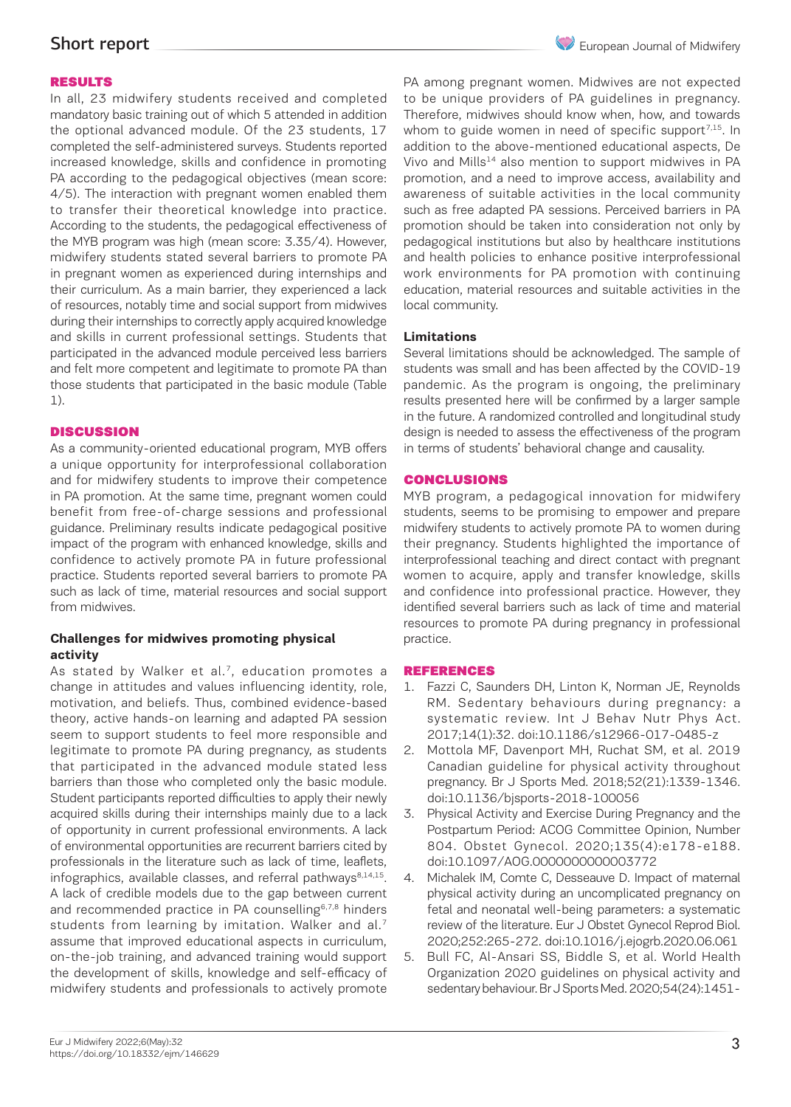# Short report

## RESULTS

In all, 23 midwifery students received and completed mandatory basic training out of which 5 attended in addition the optional advanced module. Of the 23 students, 17 completed the self-administered surveys. Students reported increased knowledge, skills and confidence in promoting PA according to the pedagogical objectives (mean score: 4/5). The interaction with pregnant women enabled them to transfer their theoretical knowledge into practice. According to the students, the pedagogical effectiveness of the MYB program was high (mean score: 3.35/4). However, midwifery students stated several barriers to promote PA in pregnant women as experienced during internships and their curriculum. As a main barrier, they experienced a lack of resources, notably time and social support from midwives during their internships to correctly apply acquired knowledge and skills in current professional settings. Students that participated in the advanced module perceived less barriers and felt more competent and legitimate to promote PA than those students that participated in the basic module (Table 1).

#### **DISCUSSION**

As a community-oriented educational program, MYB offers a unique opportunity for interprofessional collaboration and for midwifery students to improve their competence in PA promotion. At the same time, pregnant women could benefit from free-of-charge sessions and professional guidance. Preliminary results indicate pedagogical positive impact of the program with enhanced knowledge, skills and confidence to actively promote PA in future professional practice. Students reported several barriers to promote PA such as lack of time, material resources and social support from midwives.

# **Challenges for midwives promoting physical activity**

As stated by Walker et al. $<sup>7</sup>$ , education promotes a</sup> change in attitudes and values influencing identity, role, motivation, and beliefs. Thus, combined evidence-based theory, active hands-on learning and adapted PA session seem to support students to feel more responsible and legitimate to promote PA during pregnancy, as students that participated in the advanced module stated less barriers than those who completed only the basic module. Student participants reported difficulties to apply their newly acquired skills during their internships mainly due to a lack of opportunity in current professional environments. A lack of environmental opportunities are recurrent barriers cited by professionals in the literature such as lack of time, leaflets, infographics, available classes, and referral pathways $8,14,15$ . A lack of credible models due to the gap between current and recommended practice in PA counselling<sup>6,7,8</sup> hinders students from learning by imitation. Walker and al.<sup>7</sup> assume that improved educational aspects in curriculum, on-the-job training, and advanced training would support the development of skills, knowledge and self-efficacy of midwifery students and professionals to actively promote

PA among pregnant women. Midwives are not expected to be unique providers of PA guidelines in pregnancy. Therefore, midwives should know when, how, and towards whom to guide women in need of specific support<sup>7,15</sup>. In addition to the above-mentioned educational aspects, De Vivo and Mills<sup>14</sup> also mention to support midwives in PA promotion, and a need to improve access, availability and awareness of suitable activities in the local community such as free adapted PA sessions. Perceived barriers in PA promotion should be taken into consideration not only by pedagogical institutions but also by healthcare institutions and health policies to enhance positive interprofessional work environments for PA promotion with continuing education, material resources and suitable activities in the local community.

## **Limitations**

Several limitations should be acknowledged. The sample of students was small and has been affected by the COVID-19 pandemic. As the program is ongoing, the preliminary results presented here will be confirmed by a larger sample in the future. A randomized controlled and longitudinal study design is needed to assess the effectiveness of the program in terms of students' behavioral change and causality.

# CONCLUSIONS

MYB program, a pedagogical innovation for midwifery students, seems to be promising to empower and prepare midwifery students to actively promote PA to women during their pregnancy. Students highlighted the importance of interprofessional teaching and direct contact with pregnant women to acquire, apply and transfer knowledge, skills and confidence into professional practice. However, they identified several barriers such as lack of time and material resources to promote PA during pregnancy in professional practice.

# REFERENCES

- 1. Fazzi C, Saunders DH, Linton K, Norman JE, Reynolds RM. Sedentary behaviours during pregnancy: a systematic review. Int J Behav Nutr Phys Act. 2017;14(1):32. doi:10.1186/s12966-017-0485-z
- 2. Mottola MF, Davenport MH, Ruchat SM, et al. 2019 Canadian guideline for physical activity throughout pregnancy. Br J Sports Med. 2018;52(21):1339-1346. doi:10.1136/bjsports-2018-100056
- 3. Physical Activity and Exercise During Pregnancy and the Postpartum Period: ACOG Committee Opinion, Number 804. Obstet Gynecol. 2020;135(4):e178-e188. doi:10.1097/AOG.0000000000003772
- 4. Michalek IM, Comte C, Desseauve D. Impact of maternal physical activity during an uncomplicated pregnancy on fetal and neonatal well-being parameters: a systematic review of the literature. Eur J Obstet Gynecol Reprod Biol. 2020;252:265-272. doi:10.1016/j.ejogrb.2020.06.061
- 5. Bull FC, Al-Ansari SS, Biddle S, et al. World Health Organization 2020 guidelines on physical activity and sedentary behaviour. Br J Sports Med. 2020;54(24):1451-